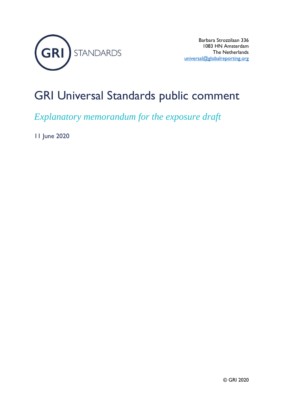

### GRI Universal Standards public comment

*Explanatory memorandum for the exposure draft*

11 June 2020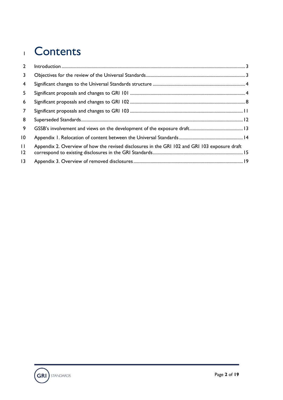### Contents

| $\mathcal{L}$                  |                                                                                               |  |
|--------------------------------|-----------------------------------------------------------------------------------------------|--|
| 3                              |                                                                                               |  |
| 4                              |                                                                                               |  |
| 5                              |                                                                                               |  |
| 6                              |                                                                                               |  |
| $\overline{7}$                 |                                                                                               |  |
| 8                              |                                                                                               |  |
| 9                              |                                                                                               |  |
| $\overline{10}$                |                                                                                               |  |
| $\mathbf{H}$<br>$\overline{2}$ | Appendix 2. Overview of how the revised disclosures in the GRI 102 and GRI 103 exposure draft |  |
| 3                              |                                                                                               |  |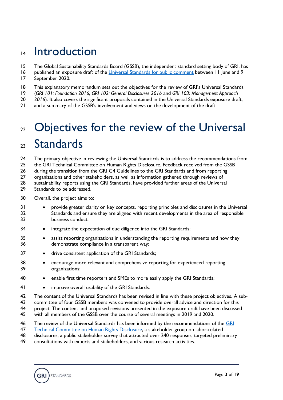### <span id="page-2-0"></span>14 Introduction

- The Global Sustainability Standards Board (GSSB), the independent standard setting body of GRI, has
- 16 published an exposure draft of the [Universal Standards](https://www.globalreporting.org/standards/work-program-and-standards-review/review-of-gris-universal-standards/) for public comment between 11 June and 9 September 2020.
- 
- This explanatory memorandum sets out the objectives for the review of GRI's Universal Standards
- (*GRI 101: Foundation 2016*, *GRI 102: General Disclosures 2016* and *GRI 103: Management Approach*
- *2016*). It also covers the significant proposals contained in the Universal Standards exposure draft,
- <span id="page-2-1"></span>and a summary of the GSSB's involvement and views on the development of the draft.

# 22 Objectives for the review of the Universal

### Standards

24 The primary objective in reviewing the Universal Standards is to address the recommendations from the GRI Technical Committee on Human Rights Disclosure. Feedback received from the GSSB

during the transition from the GRI G4 Guidelines to the GRI Standards and from reporting

organizations and other stakeholders, as well as information gathered through reviews of

sustainability reports using the GRI Standards, have provided further areas of the Universal

- Standards to be addressed.
- Overall, the project aims to:
- provide greater clarity on key concepts, reporting principles and disclosures in the Universal Standards and ensure they are aligned with recent developments in the area of responsible business conduct;
- 34 integrate the expectation of due diligence into the GRI Standards;
- assist reporting organizations in understanding the reporting requirements and how they demonstrate compliance in a transparent way;
- 37 drive consistent application of the GRI Standards;
- encourage more relevant and comprehensive reporting for experienced reporting organizations;
- enable first time reporters and SMEs to more easily apply the GRI Standards;
- 41 improve overall usability of the GRI Standards.
- The content of the Universal Standards has been revised in line with these project objectives. A sub-
- committee of four GSSB members was convened to provide overall advice and direction for this
- project. The content and proposed revisions presented in the exposure draft have been discussed
- with all members of the GSSB over the course of several meetings in 2019 and 2020.
- 46 The review of the Universal Standards has been informed by the recommendations of the GRI
- [Technical Committee on Human Rights Disclosure,](https://www.globalreporting.org/standards/work-program-and-standards-review/review-of-human-rights-related-gri-standards/) a stakeholder group on labor-related
- disclosures, a public stakeholder survey that attracted over 240 responses, targeted preliminary
- consultations with experts and stakeholders, and various research activities.

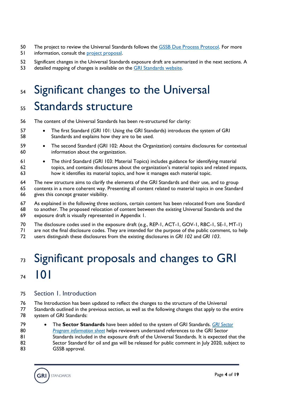- 50 The project to review the Universal Standards follows the [GSSB Due Process Protocol.](https://www.globalreporting.org/standards/media/2099/gssb-due-process-protocol-2018.pdf) For more
- 51 information, consult the [project proposal.](https://www.globalreporting.org/standards/media/2240/universal_standards_final_project_proposal_approved.pdf)
- Significant changes in the Universal Standards exposure draft are summarized in the next sections. A
- <span id="page-3-0"></span>detailed mapping of changes is available on the [GRI Standards website.](https://www.globalreporting.org/standards/work-program-and-standards-review/review-of-gris-universal-standards/)

# 54 Significant changes to the Universal Standards structure

- The content of the Universal Standards has been re-structured for clarity:
- The first Standard (GRI 101: Using the GRI Standards) introduces the system of GRI Standards and explains how they are to be used.
- 59 The second Standard (GRI 102: About the Organization) contains disclosures for contextual information about the organization.
- The third Standard (GRI 103: Material Topics) includes guidance for identifying material topics, and contains disclosures about the organization's material topics and related impacts, how it identifies its material topics, and how it manages each material topic.
- The new structure aims to clarify the elements of the GRI Standards and their use, and to group
- contents in a more coherent way. Presenting all content related to material topics in one Standard gives this concept greater visibility.
- As explained in the following three sections, certain content has been relocated from one Standard to another. The proposed relocation of content between the existing Universal Standards and the exposure draft is visually represented in Appendix 1.
- The disclosure codes used in the exposure draft (e.g., REP-1, ACT-1, GOV-1, RBC-1, SE-1, MT-1)
- are not the final disclosure codes. They are intended for the purpose of the public comment, to help
- <span id="page-3-1"></span>users distinguish these disclosures from the existing disclosures in *GRI 102* and *GRI 103*.

# 73 Significant proposals and changes to GRI 101

#### Section 1. Introduction

- The Introduction has been updated to reflect the changes to the structure of the Universal Standards outlined in the previous section, as well as the following changes that apply to the entire system of GRI Standards:
- The **Sector Standards** have been added to the system of GRI Standards. *[GRI Sector](https://www.globalreporting.org/standards/media/2613/sector-program-information-sheet.pdf)  [Program information sheet](https://www.globalreporting.org/standards/media/2613/sector-program-information-sheet.pdf)* helps reviewers understand references to the GRI Sector 81 Standards included in the exposure draft of the Universal Standards. It is expected that the Sector Standard for oil and gas will be released for public comment in July 2020, subject to GSSB approval.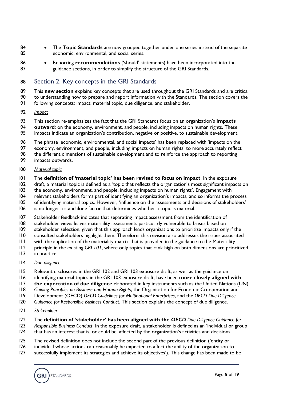- The **Topic Standards** are now grouped together under one series instead of the separate economic, environmental, and social series.
- Reporting **recommendations** ('should' statements) have been incorporated into the 87 guidance sections, in order to simplify the structure of the GRI Standards.

#### Section 2. Key concepts in the GRI Standards

 This **new section** explains key concepts that are used throughout the GRI Standards and are critical to understanding how to prepare and report information with the Standards. The section covers the

- following concepts: impact, material topic, due diligence, and stakeholder.
- *Impact*
- This section re-emphasizes the fact that the GRI Standards focus on an organization's **impacts**
- **outward**: on the economy, environment, and people, including impacts on human rights. These
- impacts indicate an organization's contribution, negative or positive, to sustainable development.
- The phrase 'economic, environmental, and social impacts' has been replaced with 'impacts on the
- economy, environment, and people, including impacts on human rights' to more accurately reflect
- the different dimensions of sustainable development and to reinforce the approach to reporting
- impacts outwards.

#### *Material topic*

- The **definition of 'material topic' has been revised to focus on impact**. In the exposure
- draft, a material topic is defined as a 'topic that reflects the organization's most significant impacts on
- the economy, environment, and people, including impacts on human rights'. Engagement with
- relevant stakeholders forms part of identifying an organization's impacts, and so informs the process
- of identifying material topics. However, 'influence on the assessments and decisions of stakeholders'
- is no longer a standalone factor that determines whether a topic is material.
- Stakeholder feedback indicates that separating impact assessment from the identification of
- stakeholder views leaves materiality assessments particularly vulnerable to biases based on
- stakeholder selection, given that this approach leads organizations to prioritize impacts only if the
- consulted stakeholders highlight them. Therefore, this revision also addresses the issues associated
- with the application of the materiality matrix that is provided in the guidance to the Materiality
- principle in the existing *GRI 101*, where only topics that rank high on both dimensions are prioritized
- in practice.

#### *Due diligence*

- Relevant disclosures in the GRI 102 and GRI 103 exposure draft, as well as the guidance on
- identifying material topics in the GRI 103 exposure draft, have been **more closely aligned with**
- **the expectation of due diligence** elaborated in key instruments such as the United Nations (UN)
- *Guiding Principles on Business and Human Rights*, the Organisation for Economic Co-operation and
- Development (OECD) *OECD Guidelines for Multinational Enterprises*, and the *OECD Due Diligence*
- *Guidance for Responsible Business Conduct*. This section explains the concept of due diligence.
- *Stakeholder*
- The **definition of 'stakeholder' has been aligned with the** *OECD Due Diligence Guidance for*
- *Responsible Business Conduct*. In the exposure draft, a stakeholder is defined as an 'individual or group
- that has an interest that is, or could be, affected by the organization's activities and decisions'.
- The revised definition does not include the second part of the previous definition ('entity or
- individual whose actions can reasonably be expected to affect the ability of the organization to
- successfully implement its strategies and achieve its objectives'). This change has been made to be

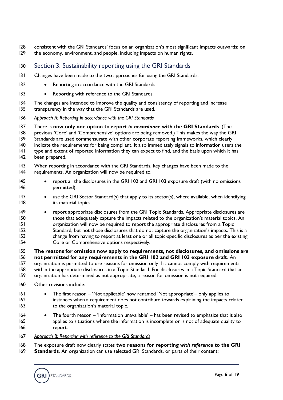- 128 consistent with the GRI Standards' focus on an organization's most significant impacts outwards: on 129 the economy, environment, and people, including impacts on human rights.
- Section 3. Sustainability reporting using the GRI Standards
- Changes have been made to the two approaches for using the GRI Standards:
- 132 Reporting in accordance with the GRI Standards.
- 133 Reporting with reference to the GRI Standards.
- 134 The changes are intended to improve the quality and consistency of reporting and increase transparency in the way that the GRI Standards are used.
- *Approach A: Reporting in accordance with the GRI Standards*
- There is **now only one option to report** *in accordance* **with the GRI Standards**. (The
- previous 'Core' and 'Comprehensive' options are being removed.) This makes the way the GRI
- 139 Standards are used commensurate with other corporate reporting frameworks, which clearly
- indicate the requirements for being compliant. It also immediately signals to information users the type and extent of reported information they can expect to find, and the basis upon which it has
- been prepared.
- 143 When reporting in accordance with the GRI Standards, key changes have been made to the requirements. An organization will now be required to:
- report all the disclosures in the GRI 102 and GRI 103 exposure draft (with no omissions permitted);
- 147 use the GRI Sector Standard(s) that apply to its sector(s), where available, when identifying **its material topics**;
- report appropriate disclosures from the GRI Topic Standards. Appropriate disclosures are those that adequately capture the impacts related to the organization's material topics. An organization will now be required to report the appropriate disclosures from a Topic Standard, but not those disclosures that do not capture the organization's impacts. This is a change from having to report at least one or all topic-specific disclosures as per the existing Core or Comprehensive options respectively.
- **The reasons for omission now apply to requirements, not disclosures, and omissions are not permitted for any requirements in the GRI 102 and GRI 103 exposure draft**. An
- organization is permitted to use reasons for omission only if it cannot comply with requirements within the appropriate disclosures in a Topic Standard. For disclosures in a Topic Standard that an
- organization has determined as not appropriate, a reason for omission is not required.
- Other revisions include:
- The first reason 'Not applicable' now renamed 'Not appropriate'– only applies to instances when a requirement does not contribute towards explaining the impacts related 163 to the organization's material topic.
- The fourth reason 'Information unavailable' has been revised to emphasize that it also applies to situations where the information is incomplete or is not of adequate quality to 166 report.
- *Approach B: Reporting with reference to the GRI Standards*
- The exposure draft now clearly states **two reasons for reporting** *with reference* **to the GRI**
- **Standards**. An organization can use selected GRI Standards, or parts of their content:

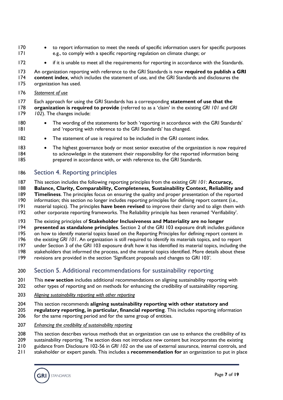- 170 to report information to meet the needs of specific information users for specific purposes e.g., to comply with a specific reporting regulation on climate change; or
- if it is unable to meet all the requirements for reporting in accordance with the Standards.

 An organization reporting with reference to the GRI Standards is now **required to publish a GRI content index**, which includes the statement of use, and the GRI Standards and disclosures the organization has used.

*Statement of use*

 Each approach for using the GRI Standards has a corresponding **statement of use that the organization is required to provide** (referred to as a 'claim' in the existing *GRI 101* and *GRI 102*). The changes include:

- The wording of the statements for both 'reporting in accordance with the GRI Standards' and 'reporting with reference to the GRI Standards' has changed.
- 182 The statement of use is required to be included in the GRI content index.
- The highest governance body or most senior executive of the organization is now required 184 to acknowledge in the statement their responsibility for the reported information being prepared in accordance with, or with reference to, the GRI Standards.

#### Section 4. Reporting principles

This section includes the following reporting principles from the existing *GRI 101*: **Accuracy,** 

**Balance, Clarity, Comparability, Completeness, Sustainability Context, Reliability and** 

**Timeliness**. The principles focus on ensuring the quality and proper presentation of the reported

information; this section no longer includes reporting principles for defining report content (i.e.,

material topics). The principles **have been revised** to improve their clarity and to align them with

other corporate reporting frameworks. The Reliability principle has been renamed 'Verifiability'.

The existing principles of **Stakeholder Inclusiveness and Materiality are no longer** 

**presented as standalone principles**. Section 2 of the GRI 103 exposure draft includes guidance

on how to identify material topics based on the Reporting Principles for defining report content in

the existing *GRI 101*. An organization is still required to identify its materials topics, and to report

under Section 3 of the GRI 103 exposure draft how it has identified its material topics, including the

stakeholders that informed the process, and the material topics identified. More details about these

revisions are provided in the section 'Significant proposals and changes to GRI 103*'*.

#### Section 5. Additional recommendations for sustainability reporting

 This **new section** includes additional recommendations on aligning sustainability reporting with 202 other types of reporting and on methods for enhancing the credibility of sustainability reporting.

- *Aligning sustainability reporting with other reporting*
- This section recommends **aligning sustainability reporting with other statutory and**
- **regulatory reporting, in particular, financial reporting**. This includes reporting information
- 206 for the same reporting period and for the same group of entities.
- *Enhancing the credibility of sustainability reporting*
- 208 This section describes various methods that an organization can use to enhance the credibility of its
- sustainability reporting. The section does not introduce new content but incorporates the existing
- guidance from Disclosure 102-56 in *GRI 102* on the use of external assurance, internal controls, and
- stakeholder or expert panels. This includes a **recommendation for** an organization to put in place

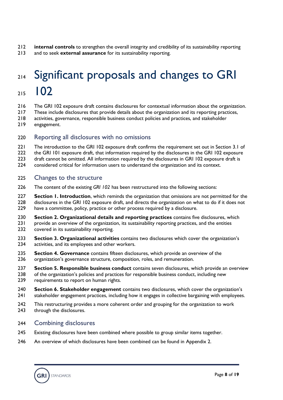- **internal controls** to strengthen the overall integrity and credibility of its sustainability reporting
- <span id="page-7-0"></span>and to seek **external assurance** for its sustainability reporting.

### 214 Significant proposals and changes to GRI 102

- 
- The GRI 102 exposure draft contains disclosures for contextual information about the organization.
- These include disclosures that provide details about the organization and its reporting practices,
- activities, governance, responsible business conduct policies and practices, and stakeholder
- engagement.

#### Reporting all disclosures with no omissions

- 221 The introduction to the GRI 102 exposure draft confirms the requirement set out in Section 3.1 of
- 222 the GRI 101 exposure draft, that information required by the disclosures in the GRI 102 exposure
- 223 draft cannot be omitted. All information required by the disclosures in GRI 102 exposure draft is
- considered critical for information users to understand the organization and its context.

#### Changes to the structure

- The content of the existing *GRI 102* has been restructured into the following sections:
- **Section 1. Introduction**, which reminds the organization that omissions are not permitted for the 228 disclosures in the GRI 102 exposure draft, and directs the organization on what to do if it does not have a committee, policy, practice or other process required by a disclosure.
- **Section 2. Organizational details and reporting practices** contains five disclosures, which 231 provide an overview of the organization, its sustainability reporting practices, and the entities 232 covered in its sustainability reporting.
- **Section 3. Organizational activities** contains two disclosures which cover the organization's activities, and its employees and other workers.
- **Section 4. Governance** contains fifteen disclosures, which provide an overview of the organization's governance structure, composition, roles, and remuneration.
- **Section 5. Responsible business conduct** contains seven disclosures, which provide an overview
- 238 of the organization's policies and practices for responsible business conduct, including new requirements to report on human rights.
- **Section 6. Stakeholder engagement** contains two disclosures, which cover the organization's stakeholder engagement practices, including how it engages in collective bargaining with employees.
- 242 This restructuring provides a more coherent order and grouping for the organization to work 243 through the disclosures.

#### Combining disclosures

- Existing disclosures have been combined where possible to group similar items together.
- An overview of which disclosures have been combined can be found in Appendix 2.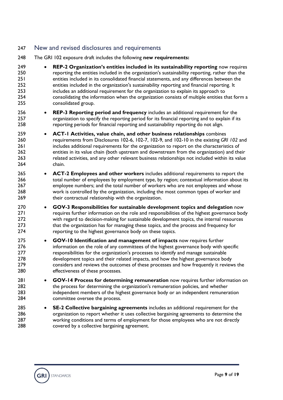#### New and revised disclosures and requirements

- The GRI 102 exposure draft includes the following **new requirements:**
- **REP-2 Organization's entities included in its sustainability reporting** now requires reporting the entities included in the organization's sustainability reporting, rather than the entities included in its consolidated financial statements, and any differences between the entities included in the organization's sustainability reporting and financial reporting. It includes an additional requirement for the organization to explain its approach to consolidating the information when the organization consists of multiple entities that form a consolidated group.
- **REP-3 Reporting period and frequency** includes an additional requirement for the organization to specify the reporting period for its financial reporting and to explain if its reporting periods for financial reporting and sustainability reporting do not align.
- **ACT-1 Activities, value chain, and other business relationships** combines requirements from Disclosures 102-6, 102-7, 102-9, and 102-10 in the existing *GRI 102* and 261 includes additional requirements for the organization to report on the characteristics of entities in its value chain (both upstream and downstream from the organization) and their related activities, and any other relevant business relationships not included within its value chain.
- **ACT-2 Employees and other workers** includes additional requirements to report the 266 total number of employees by employment type, by region; contextual information about its employee numbers; and the total number of workers who are not employees and whose work is controlled by the organization, including the most common types of worker and 269 their contractual relationship with the organization.
- **GOV-3 Responsibilities for sustainable development topics and delegation** now 271 requires further information on the role and responsibilities of the highest governance body 272 with regard to decision-making for sustainable development topics, the internal resources 273 that the organization has for managing these topics, and the process and frequency for 274 reporting to the highest governance body on these topics.
- **GOV-10 Identification and management of impacts** now requires further 276 information on the role of any committees of the highest governance body with specific responsibilities for the organization's processes to identify and manage sustainable development topics and their related impacts, and how the highest governance body considers and reviews the outcomes of these processes and how frequently it reviews the effectiveness of these processes.
- **GOV-14 Process for determining remuneration** now requires further information on the process for determining the organization's remuneration policies, and whether independent members of the highest governance body or an independent remuneration committee oversee the process.
- **SE-2 Collective bargaining agreements** includes an additional requirement for the organization to report whether it uses collective bargaining agreements to determine the working conditions and terms of employment for those employees who are not directly **covered by a collective bargaining agreement.**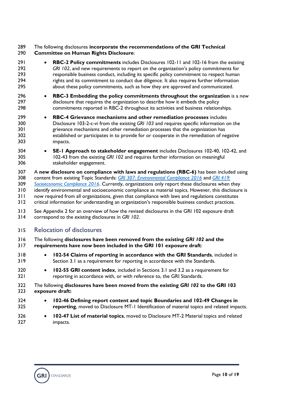#### The following disclosures **incorporate the recommendations of the GRI Technical Committee on Human Rights Disclosure**:

- **RBC-2 Policy commitments** includes Disclosures 102-11 and 102-16 from the existing *GRI 102*, and new requirements to report on the organization's policy commitments for responsible business conduct, including its specific policy commitment to respect human 294 rights and its commitment to conduct due diligence. It also requires further information about these policy commitments, such as how they are approved and communicated.
- **RBC-3 Embedding the policy commitments throughout the organization** is a new disclosure that requires the organization to describe how it embeds the policy commitments reported in RBC-2 throughout its activities and business relationships.
- **RBC-4 Grievance mechanisms and other remediation processes** includes Disclosure 103-2-c-vi from the existing *GRI 103* and requires specific information on the grievance mechanisms and other remediation processes that the organization has established or participates in to provide for or cooperate in the remediation of negative impacts.
- **SE-1 Approach to stakeholder engagement** includes Disclosures 102-40, 102-42, and 102-43 from the existing *GRI 102* and requires further information on meaningful stakeholder engagement.
- A **new disclosure on compliance with laws and regulations (RBC-6)** has been included using content from existing Topic Standards: *[GRI 307: Environmental Compliance 2016](https://www.globalreporting.org/standards/media/1014/gri-307-environmental-compliance-2016.pdf)* and *[GRI 419:](https://www.globalreporting.org/standards/media/1034/gri-419-socioeconomic-compliance-2016.pdf)  [Socioeconomic Compliance 2016](https://www.globalreporting.org/standards/media/1034/gri-419-socioeconomic-compliance-2016.pdf)*. Currently, organizations only report these disclosures when they identify environmental and socioeconomic compliance as material topics. However, this disclosure is now required from all organizations, given that compliance with laws and regulations constitutes critical information for understanding an organization's responsible business conduct practices.
- See Appendix 2 for an overview of how the revised disclosures in the GRI 102 exposure draft correspond to the existing disclosures in *GRI 102*.

#### Relocation of disclosures

- The following **disclosures have been removed from the existing** *GRI 102* **and the requirements have now been included in the GRI 101 exposure draft**:
- **102-54 Claims of reporting in accordance with the GRI Standards**, included in Section 3.1 as a requirement for reporting in accordance with the Standards.
- **102-55 GRI content index**, included in Sections 3.1 and 3.2 as a requirement for reporting in accordance with, or with reference to, the GRI Standards.

#### The following **disclosures have been moved from the existing** *GRI 102* **to the GRI 103 exposure draft:**

- **102-46 Defining report content and topic Boundaries and 102-49 Changes in reporting**, moved to Disclosure MT-1 Identification of material topics and related impacts.
- **102-47 List of material topics**, moved to Disclosure MT-2 Material topics and related impacts.

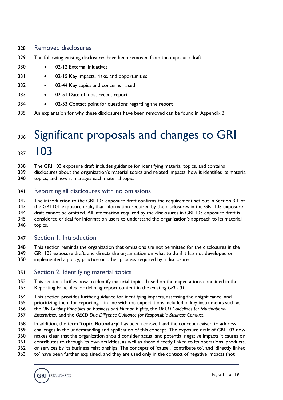#### Removed disclosures

- The following existing disclosures have been removed from the exposure draft:
- 330 102-12 External initiatives
- 331 102-15 Key impacts, risks, and opportunities
- 332 102-44 Key topics and concerns raised
- 333 102-51 Date of most recent report
- 334 102-53 Contact point for questions regarding the report
- <span id="page-10-0"></span>An explanation for why these disclosures have been removed can be found in Appendix 3.

### 336 Significant proposals and changes to GRI 337 103

- The GRI 103 exposure draft includes guidance for identifying material topics, and contains
- disclosures about the organization's material topics and related impacts, how it identifies its material topics, and how it manages each material topic.
- Reporting all disclosures with no omissions

The introduction to the GRI 103 exposure draft confirms the requirement set out in Section 3.1 of

the GRI 101 exposure draft, that information required by the disclosures in the GRI 103 exposure

344 draft cannot be omitted. All information required by the disclosures in GRI 103 exposure draft is

- considered critical for information users to understand the organization's approach to its material
- topics.

#### Section 1. Introduction

- This section reminds the organization that omissions are not permitted for the disclosures in the
- GRI 103 exposure draft, and directs the organization on what to do if it has not developed or
- implemented a policy, practice or other process required by a disclosure.

#### Section 2. Identifying material topics

- This section clarifies how to identify material topics, based on the expectations contained in the Reporting Principles for defining report content in the existing *GRI 101*.
- This section provides further guidance for identifying impacts, assessing their significance, and
- prioritizing them for reporting in line with the expectations included in key instruments such as
- the *UN Guiding Principles on Business and Human Rights*, the *OECD Guidelines for Multinational*
- *Enterprises*, and the *OECD Due Diligence Guidance for Responsible Business Conduct*.
- In addition, the term **'topic Boundary'** has been removed and the concept revised to address
- challenges in the understanding and application of this concept. The exposure draft of GRI 103 now
- makes clear that the organization should consider actual and potential negative impacts it causes or
- contributes to through its own activities, as well as those directly linked to its operations, products,
- or services by its business relationships. The concepts of 'cause', 'contribute to', and 'directly linked
- to' have been further explained, and they are used only in the context of negative impacts (not

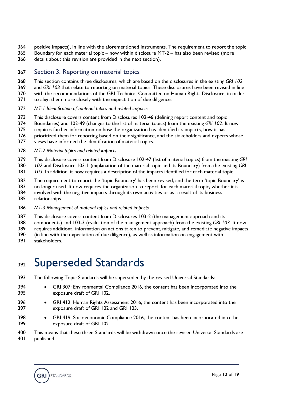- positive impacts), in line with the aforementioned instruments. The requirement to report the topic
- Boundary for each material topic now within disclosure MT-2 has also been revised (more
- details about this revision are provided in the next section).

#### Section 3. Reporting on material topics

- This section contains three disclosures, which are based on the disclosures in the existing *GRI 102*
- and *GRI 103* that relate to reporting on material topics. These disclosures have been revised in line
- with the recommendations of the GRI Technical Committee on Human Rights Disclosure, in order
- to align them more closely with the expectation of due diligence.
- *MT-1 Identification of material topics and related impacts*
- This disclosure covers content from Disclosures 102-46 (defining report content and topic
- Boundaries) and 102-49 (changes to the list of material topics) from the existing *GRI 102*. It now
- 375 requires further information on how the organization has identified its impacts, how it has
- 376 prioritized them for reporting based on their significance, and the stakeholders and experts whose
- views have informed the identification of material topics.

#### *MT-2 Material topics and related impacts*

- This disclosure covers content from Disclosure 102-47 (list of material topics) from the existing *GRI*
- *102* and Disclosure 103-1 (explanation of the material topic and its Boundary) from the existing *GRI*
- *103*. In addition, it now requires a description of the impacts identified for each material topic.
- The requirement to report the 'topic Boundary' has been revised, and the term 'topic Boundary' is
- no longer used. It now requires the organization to report, for each material topic, whether it is
- involved with the negative impacts through its own activities or as a result of its business relationships.
- *MT-3 Management of material topics and related impacts*
- This disclosure covers content from Disclosures 103-2 (the management approach and its
- components) and 103-3 (evaluation of the management approach) from the existing *GRI 103*. It now
- requires additional information on actions taken to prevent, mitigate, and remediate negative impacts
- (in line with the expectation of due diligence), as well as information on engagement with
- <span id="page-11-0"></span>stakeholders.

### 392 Superseded Standards

- The following Topic Standards will be superseded by the revised Universal Standards:
- GRI 307: Environmental Compliance 2016, the content has been incorporated into the exposure draft of GRI 102.
- GRI 412: Human Rights Assessment 2016, the content has been incorporated into the exposure draft of GRI 102 and GRI 103.
- GRI 419: Socioeconomic Compliance 2016, the content has been incorporated into the exposure draft of GRI 102.
- This means that these three Standards will be withdrawn once the revised Universal Standards are published.

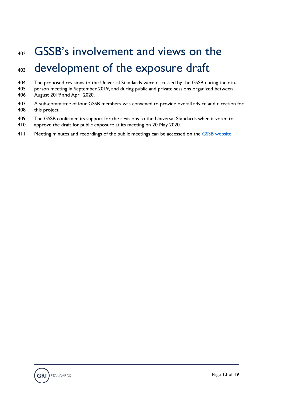# <span id="page-12-0"></span> GSSB's involvement and views on the development of the exposure draft

- The proposed revisions to the Universal Standards were discussed by the GSSB during their in-
- person meeting in September 2019, and during public and private sessions organized between August 2019 and April 2020.
- A sub-committee of four GSSB members was convened to provide overall advice and direction for this project.
- The GSSB confirmed its support for the revisions to the Universal Standards when it voted to
- approve the draft for public exposure at its meeting on 20 May 2020.
- 411 Meeting minutes and recordings of the public meetings can be accessed on the [GSSB website.](https://www.globalreporting.org/standards/gssbandstandardsetting/gssb-meetings/)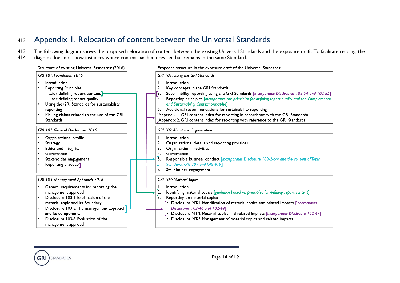### <sup>412</sup> Appendix 1. Relocation of content between the Universal Standards

413 The following diagram shows the proposed relocation of content between the existing Universal Standards and the exposure draft. To facilitate reading, the

414 diagram does not show instances where content has been revised but remains in the same Standard.

#### Structure of existing Universal Standards: (2016) GRI 101: Foundation 2016 Introduction  $\bullet$ **Reporting Principles** ...for defining report content | ...for defining report quality • Using the GRI Standards for sustainability reporting Making claims related to the use of the GRI Standards GRI 102: General Disclosures 2016 Organizational profile  $\bullet$ Strategy Ethics and integrity

- <span id="page-13-0"></span>Governance
- Stakeholder engagement
- Reporting practice<sup>1</sup>

#### GRI 103: Management Approach 2016

- General requirements for reporting the management approach
- Disclosure 103-1 Explanation of the material topic and its Boundary
- Disclosure 103-2 The management approach and its components
- Disclosure 103-3 Evaluation of the management approach

|                                  |  | Proposed structure in the exposure draft of the Universal Standards:                                                                                                                                                                                                                                                                                                                                                                                                                                                                                               |
|----------------------------------|--|--------------------------------------------------------------------------------------------------------------------------------------------------------------------------------------------------------------------------------------------------------------------------------------------------------------------------------------------------------------------------------------------------------------------------------------------------------------------------------------------------------------------------------------------------------------------|
| GRI 101: Using the GRI Standards |  |                                                                                                                                                                                                                                                                                                                                                                                                                                                                                                                                                                    |
|                                  |  | Introduction<br>I.<br>2.<br>Key concepts in the GRI Standards<br>3.<br>Sustainability reporting using the GRI Standards [incorporates Disclosures 102-54 and 102-55]<br>Reporting principles [incorporates the principles for defining report quality and the Completeness<br>4.<br>and Sustainability Context principles]<br>Additional recommendations for sustainability reporting<br>5.<br>Appendix 1. GRI content index for reporting in accordance with the GRI Standards<br>Appendix 2. GRI content index for reporting with reference to the GRI Standards |
|                                  |  | GRI 102: About the Organization                                                                                                                                                                                                                                                                                                                                                                                                                                                                                                                                    |
|                                  |  | Introduction<br>L.<br>2.<br>Organizational details and reporting practices<br>3.<br>Organizational activities<br>Governance<br>4.                                                                                                                                                                                                                                                                                                                                                                                                                                  |
|                                  |  | 5.<br>Responsible business conduct [incorporates Disclosure 103-2-c-vi and the content of Topic<br>Standards GRI 307 and GRI 419]                                                                                                                                                                                                                                                                                                                                                                                                                                  |
|                                  |  | Stakeholder engagement<br>6.                                                                                                                                                                                                                                                                                                                                                                                                                                                                                                                                       |
|                                  |  | GRI 103: Material Topics                                                                                                                                                                                                                                                                                                                                                                                                                                                                                                                                           |
|                                  |  | Introduction<br>L.<br>2.<br>Identifying material topics [guidance based on principles for defining report content]                                                                                                                                                                                                                                                                                                                                                                                                                                                 |
|                                  |  | Reporting on material topics<br>Disclosure MT-1 Identification of material topics and related impacts [incorporates<br>Disclosures 102-46 and 102-49]<br>Disclosure MT-2 Material topics and related impacts [incorporates Disclosure 102-47]<br>Disclosure MT-3 Management of material topics and related impacts                                                                                                                                                                                                                                                 |

**STANDARDS**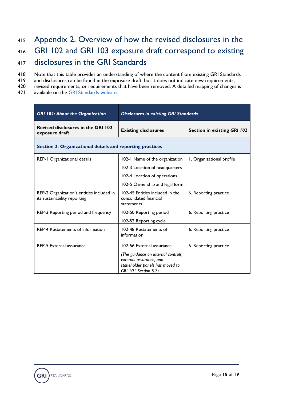### <span id="page-14-0"></span><sup>415</sup> Appendix 2. Overview of how the revised disclosures in the <sup>416</sup> GRI 102 and GRI 103 exposure draft correspond to existing

- <sup>417</sup> disclosures in the GRI Standards
- 418 Note that this table provides an understanding of where the content from existing GRI Standards
- 419 and disclosures can be found in the exposure draft, but it does not indicate new requirements,
- 420 revised requirements, or requirements that have been removed. A detailed mapping of changes is
- 421 available on the GRI Standards website.

| <b>GRI 102: About the Organization</b>                                    | <b>Disclosures in existing GRI Standards</b>                                                                                                           |                                    |
|---------------------------------------------------------------------------|--------------------------------------------------------------------------------------------------------------------------------------------------------|------------------------------------|
| <b>Revised disclosures in the GRI 102</b><br>exposure draft               | <b>Existing disclosures</b>                                                                                                                            | <b>Section in existing GRI 102</b> |
| Section 2. Organizational details and reporting practices                 |                                                                                                                                                        |                                    |
| REP-1 Organizational details                                              | 102-1 Name of the organization<br>102-3 Location of headquarters<br>102-4 Location of operations                                                       | 1. Organizational profile          |
| REP-2 Organization's entities included in<br>its sustainability reporting | 102-5 Ownership and legal form<br>102-45 Entities included in the<br>consolidated financial                                                            | 6. Reporting practice              |
| REP-3 Reporting period and frequency                                      | statements<br>102-50 Reporting period                                                                                                                  | 6. Reporting practice              |
| <b>REP-4 Restatements of information</b>                                  | 102-52 Reporting cycle<br>102-48 Restatements of<br>information                                                                                        | 6. Reporting practice              |
| <b>REP-5 External assurance</b>                                           | 102-56 External assurance<br>(The guidance on internal controls,<br>external assurance, and<br>stakeholder panels has moved to<br>GRI 101 Section 5.2) | 6. Reporting practice              |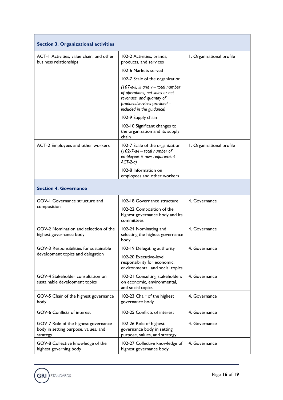| <b>Section 3. Organizational activities</b>                                              |                                                                                                                                                                     |                           |  |
|------------------------------------------------------------------------------------------|---------------------------------------------------------------------------------------------------------------------------------------------------------------------|---------------------------|--|
| ACT-1 Activities, value chain, and other<br>business relationships                       | 102-2 Activities, brands,<br>products, and services                                                                                                                 | I. Organizational profile |  |
|                                                                                          | 102-6 Markets served                                                                                                                                                |                           |  |
|                                                                                          | 102-7 Scale of the organization                                                                                                                                     |                           |  |
|                                                                                          | $(107-a-ii, iii and v - total number)$<br>of operations, net sales or net<br>revenues, and quantity of<br>products/services provided -<br>included in the guidance) |                           |  |
|                                                                                          | 102-9 Supply chain                                                                                                                                                  |                           |  |
|                                                                                          | 102-10 Significant changes to<br>the organization and its supply<br>chain                                                                                           |                           |  |
| ACT-2 Employees and other workers                                                        | 102-7 Scale of the organization<br>$(102 - 7 - a - i - total number of$<br>employees is now requirement<br>$ACT-2-a)$                                               | I. Organizational profile |  |
|                                                                                          | 102-8 Information on<br>employees and other workers                                                                                                                 |                           |  |
| <b>Section 4. Governance</b>                                                             |                                                                                                                                                                     |                           |  |
| GOV-1 Governance structure and                                                           | 102-18 Governance structure                                                                                                                                         | 4. Governance             |  |
| composition                                                                              | 102-22 Composition of the<br>highest governance body and its<br>committees                                                                                          |                           |  |
| GOV-2 Nomination and selection of the<br>highest governance body                         | 102-24 Nominating and<br>selecting the highest governance<br>body                                                                                                   | 4. Governance             |  |
| GOV-3 Responsibilities for sustainable                                                   | 102-19 Delegating authority                                                                                                                                         | 4. Governance             |  |
| development topics and delegation                                                        | 102-20 Executive-level<br>responsibility for economic,<br>environmental, and social topics                                                                          |                           |  |
| GOV-4 Stakeholder consultation on<br>sustainable development topics                      | 102-21 Consulting stakeholders<br>on economic, environmental,<br>and social topics                                                                                  | 4. Governance             |  |
| GOV-5 Chair of the highest governance<br>body                                            | 102-23 Chair of the highest<br>governance body                                                                                                                      | 4. Governance             |  |
| <b>GOV-6 Conflicts of interest</b>                                                       | 102-25 Conflicts of interest                                                                                                                                        | 4. Governance             |  |
| GOV-7 Role of the highest governance<br>body in setting purpose, values, and<br>strategy | 102-26 Role of highest<br>governance body in setting<br>purpose, values, and strategy                                                                               | 4. Governance             |  |
| GOV-8 Collective knowledge of the<br>highest governing body                              | 102-27 Collective knowledge of<br>highest governance body                                                                                                           | 4. Governance             |  |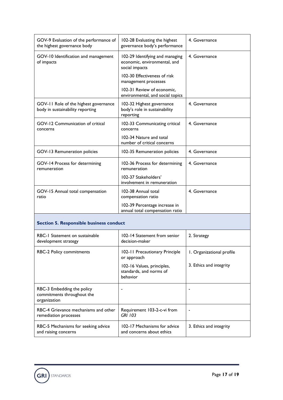| GOV-9 Evaluation of the performance of<br>the highest governance body     | 102-28 Evaluating the highest<br>governance body's performance                    | 4. Governance             |  |
|---------------------------------------------------------------------------|-----------------------------------------------------------------------------------|---------------------------|--|
| GOV-10 Identification and management<br>of impacts                        | 102-29 Identifying and managing<br>economic, environmental, and<br>social impacts | 4. Governance             |  |
|                                                                           | 102-30 Effectiveness of risk<br>management processes                              |                           |  |
|                                                                           | 102-31 Review of economic,<br>environmental, and social topics                    |                           |  |
| GOV-11 Role of the highest governance<br>body in sustainability reporting | 102-32 Highest governance<br>body's role in sustainability<br>reporting           | 4. Governance             |  |
| GOV-12 Communication of critical<br>concerns                              | 102-33 Communicating critical<br>concerns                                         | 4. Governance             |  |
|                                                                           | 102-34 Nature and total<br>number of critical concerns                            |                           |  |
| GOV-13 Remuneration policies                                              | 102-35 Remuneration policies                                                      | 4. Governance             |  |
| GOV-14 Process for determining<br>remuneration                            | 102-36 Process for determining<br>remuneration                                    | 4. Governance             |  |
|                                                                           | 102-37 Stakeholders'<br>involvement in remuneration                               |                           |  |
| GOV-15 Annual total compensation<br>ratio                                 | 102-38 Annual total<br>compensation ratio                                         | 4. Governance             |  |
|                                                                           | 102-39 Percentage increase in<br>annual total compensation ratio                  |                           |  |
| <b>Section 5. Responsible business conduct</b>                            |                                                                                   |                           |  |
| RBC-1 Statement on sustainable<br>development strategy                    | 102-14 Statement from senior<br>decision-maker                                    | 2. Strategy               |  |
| <b>RBC-2 Policy commitments</b>                                           | 102-11 Precautionary Principle<br>or approach                                     | I. Organizational profile |  |
|                                                                           | 102-16 Values, principles,<br>standards, and norms of<br>behavior                 | 3. Ethics and integrity   |  |
| RBC-3 Embedding the policy<br>commitments throughout the<br>organization  |                                                                                   |                           |  |
| RBC-4 Grievance mechanisms and other<br>remediation processes             | Requirement 103-2-c-vi from<br><b>GRI 103</b>                                     |                           |  |
| RBC-5 Mechanisms for seeking advice                                       | 102-17 Mechanisms for advice                                                      | 3. Ethics and integrity   |  |

and concerns about ethics

and raising concerns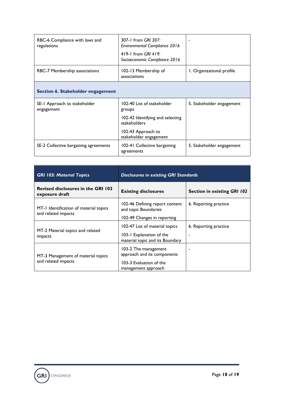| RBC-6 Compliance with laws and<br>regulations | 307-1 from GRI 307:<br><b>Environmental Compliance 2016</b><br>419-1 from GRI 419.<br>Socioeconomic Compliance 2016 |                           |  |
|-----------------------------------------------|---------------------------------------------------------------------------------------------------------------------|---------------------------|--|
| <b>RBC-7 Membership associations</b>          | 102-13 Membership of<br>associations                                                                                | 1. Organizational profile |  |
| Section 6. Stakeholder engagement             |                                                                                                                     |                           |  |
| SE-1 Approach to stakeholder<br>engagement    | 102-40 List of stakeholder<br>groups                                                                                | 5. Stakeholder engagement |  |
|                                               | 102-42 Identifying and selecting<br>stakeholders                                                                    |                           |  |
|                                               | 102-43 Approach to<br>stakeholder engagement                                                                        |                           |  |
| SE-2 Collective bargaining agreements         | 102-41 Collective bargaining<br>agreements                                                                          | 5. Stakeholder engagement |  |

| <b>GRI 103: Material Topics</b>                               | <b>Disclosures in existing GRI Standards</b>               |                                    |
|---------------------------------------------------------------|------------------------------------------------------------|------------------------------------|
| <b>Revised disclosures in the GRI 103</b><br>exposure draft   | <b>Existing disclosures</b>                                | <b>Section in existing GRI 102</b> |
| MT-1 Identification of material topics<br>and related impacts | 102-46 Defining report content<br>and topic Boundaries     | 6. Reporting practice              |
|                                                               | 102-49 Changes in reporting                                |                                    |
| MT-2 Material topics and related<br>impacts                   | 102-47 List of material topics<br>103-1 Explanation of the | 6. Reporting practice              |
|                                                               | material topic and its Boundary                            |                                    |
| MT-3 Management of material topics                            | 103-2 The management<br>approach and its components        |                                    |
| and related impacts                                           | 103-3 Evaluation of the<br>management approach             |                                    |